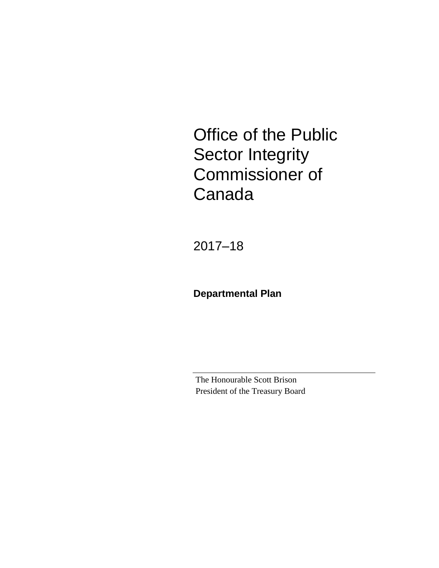Office of the Public Sector Integrity Commissioner of Canada

2017–18

**Departmental Plan**

The Honourable Scott Brison President of the Treasury Board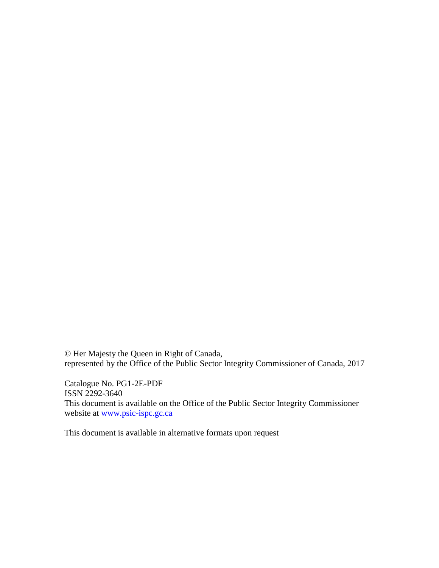© Her Majesty the Queen in Right of Canada, represented by the Office of the Public Sector Integrity Commissioner of Canada, 2017

Catalogue No. PG1-2E-PDF ISSN 2292-3640 This document is available on the Office of the Public Sector Integrity Commissioner website at [www.psic-ispc.gc.ca](http://www.psic-ispc.gc.ca/)

This document is available in alternative formats upon request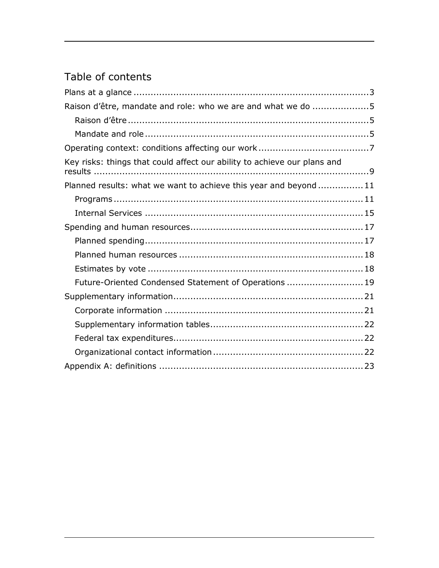# Table of contents

| Raison d'être, mandate and role: who we are and what we do 5             |  |
|--------------------------------------------------------------------------|--|
|                                                                          |  |
|                                                                          |  |
|                                                                          |  |
| Key risks: things that could affect our ability to achieve our plans and |  |
| Planned results: what we want to achieve this year and beyond11          |  |
|                                                                          |  |
|                                                                          |  |
|                                                                          |  |
|                                                                          |  |
|                                                                          |  |
|                                                                          |  |
| Future-Oriented Condensed Statement of Operations  19                    |  |
|                                                                          |  |
|                                                                          |  |
|                                                                          |  |
|                                                                          |  |
|                                                                          |  |
|                                                                          |  |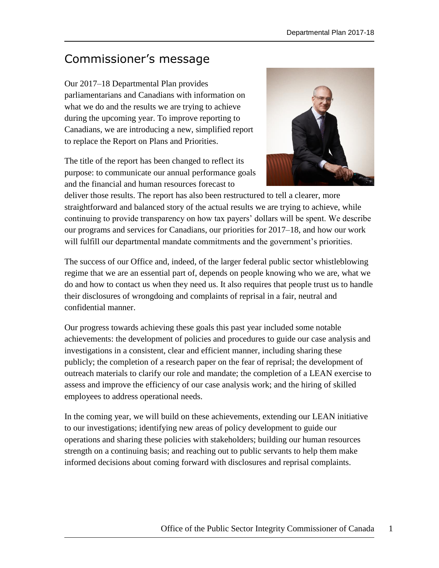# Commissioner's message

Our 2017–18 Departmental Plan provides parliamentarians and Canadians with information on what we do and the results we are trying to achieve during the upcoming year. To improve reporting to Canadians, we are introducing a new, simplified report to replace the Report on Plans and Priorities.

The title of the report has been changed to reflect its purpose: to communicate our annual performance goals and the financial and human resources forecast to



deliver those results. The report has also been restructured to tell a clearer, more straightforward and balanced story of the actual results we are trying to achieve, while continuing to provide transparency on how tax payers' dollars will be spent. We describe our programs and services for Canadians, our priorities for 2017–18, and how our work will fulfill our departmental mandate commitments and the government's priorities.

The success of our Office and, indeed, of the larger federal public sector whistleblowing regime that we are an essential part of, depends on people knowing who we are, what we do and how to contact us when they need us. It also requires that people trust us to handle their disclosures of wrongdoing and complaints of reprisal in a fair, neutral and confidential manner.

Our progress towards achieving these goals this past year included some notable achievements: the development of policies and procedures to guide our case analysis and investigations in a consistent, clear and efficient manner, including sharing these publicly; the completion of a research paper on the fear of reprisal; the development of outreach materials to clarify our role and mandate; the completion of a LEAN exercise to assess and improve the efficiency of our case analysis work; and the hiring of skilled employees to address operational needs.

In the coming year, we will build on these achievements, extending our LEAN initiative to our investigations; identifying new areas of policy development to guide our operations and sharing these policies with stakeholders; building our human resources strength on a continuing basis; and reaching out to public servants to help them make informed decisions about coming forward with disclosures and reprisal complaints.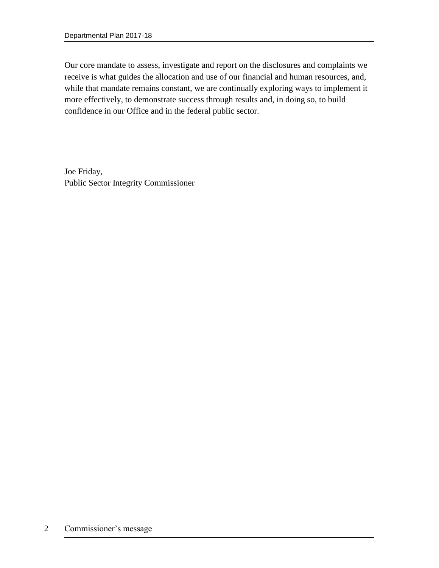Our core mandate to assess, investigate and report on the disclosures and complaints we receive is what guides the allocation and use of our financial and human resources, and, while that mandate remains constant, we are continually exploring ways to implement it more effectively, to demonstrate success through results and, in doing so, to build confidence in our Office and in the federal public sector.

Joe Friday, Public Sector Integrity Commissioner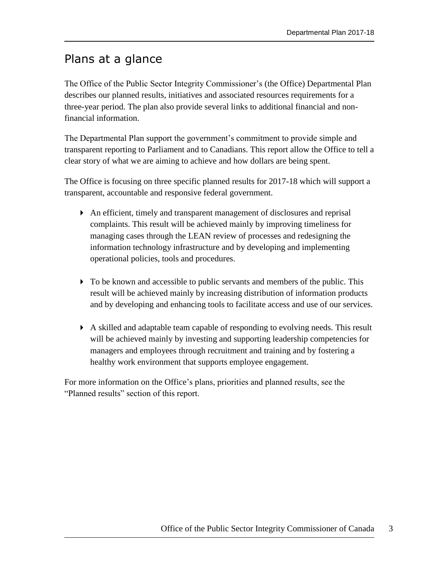# <span id="page-6-0"></span>Plans at a glance

The Office of the Public Sector Integrity Commissioner's (the Office) Departmental Plan describes our planned results, initiatives and associated resources requirements for a three-year period. The plan also provide several links to additional financial and nonfinancial information.

The Departmental Plan support the government's commitment to provide simple and transparent reporting to Parliament and to Canadians. This report allow the Office to tell a clear story of what we are aiming to achieve and how dollars are being spent.

The Office is focusing on three specific planned results for 2017-18 which will support a transparent, accountable and responsive federal government.

- An efficient, timely and transparent management of disclosures and reprisal complaints. This result will be achieved mainly by improving timeliness for managing cases through the LEAN review of processes and redesigning the information technology infrastructure and by developing and implementing operational policies, tools and procedures.
- $\triangleright$  To be known and accessible to public servants and members of the public. This result will be achieved mainly by increasing distribution of information products and by developing and enhancing tools to facilitate access and use of our services.
- A skilled and adaptable team capable of responding to evolving needs. This result will be achieved mainly by investing and supporting leadership competencies for managers and employees through recruitment and training and by fostering a healthy work environment that supports employee engagement.

For more information on the Office's plans, priorities and planned results, see the "Planned results" section of this report.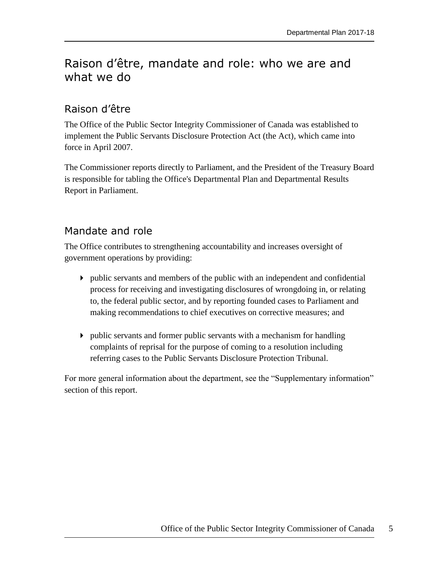# <span id="page-8-0"></span>Raison d'être, mandate and role: who we are and what we do

# <span id="page-8-1"></span>Raison d'être

The Office of the Public Sector Integrity Commissioner of Canada was established to implement the Public Servants Disclosure Protection Act (the Act), which came into force in April 2007.

The Commissioner reports directly to Parliament, and the President of the Treasury Board is responsible for tabling the Office's Departmental Plan and Departmental Results Report in Parliament.

# <span id="page-8-2"></span>Mandate and role

The Office contributes to strengthening accountability and increases oversight of government operations by providing:

- public servants and members of the public with an independent and confidential process for receiving and investigating disclosures of wrongdoing in, or relating to, the federal public sector, and by reporting founded cases to Parliament and making recommendations to chief executives on corrective measures; and
- public servants and former public servants with a mechanism for handling complaints of reprisal for the purpose of coming to a resolution including referring cases to the Public Servants Disclosure Protection Tribunal.

For more general information about the department, see the "Supplementary information" section of this report.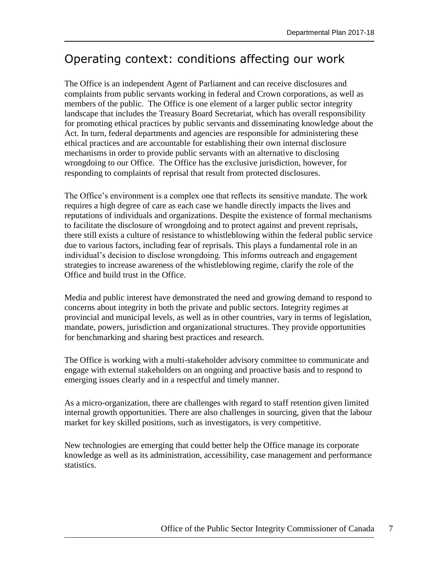# <span id="page-10-0"></span>Operating context: conditions affecting our work

The Office is an independent Agent of Parliament and can receive disclosures and complaints from public servants working in federal and Crown corporations, as well as members of the public. The Office is one element of a larger public sector integrity landscape that includes the Treasury Board Secretariat, which has overall responsibility for promoting ethical practices by public servants and disseminating knowledge about the Act. In turn, federal departments and agencies are responsible for administering these ethical practices and are accountable for establishing their own internal disclosure mechanisms in order to provide public servants with an alternative to disclosing wrongdoing to our Office. The Office has the exclusive jurisdiction, however, for responding to complaints of reprisal that result from protected disclosures.

The Office's environment is a complex one that reflects its sensitive mandate. The work requires a high degree of care as each case we handle directly impacts the lives and reputations of individuals and organizations. Despite the existence of formal mechanisms to facilitate the disclosure of wrongdoing and to protect against and prevent reprisals, there still exists a culture of resistance to whistleblowing within the federal public service due to various factors, including fear of reprisals. This plays a fundamental role in an individual's decision to disclose wrongdoing. This informs outreach and engagement strategies to increase awareness of the whistleblowing regime, clarify the role of the Office and build trust in the Office.

Media and public interest have demonstrated the need and growing demand to respond to concerns about integrity in both the private and public sectors. Integrity regimes at provincial and municipal levels, as well as in other countries, vary in terms of legislation, mandate, powers, jurisdiction and organizational structures. They provide opportunities for benchmarking and sharing best practices and research.

The Office is working with a multi-stakeholder advisory committee to communicate and engage with external stakeholders on an ongoing and proactive basis and to respond to emerging issues clearly and in a respectful and timely manner.

As a micro-organization, there are challenges with regard to staff retention given limited internal growth opportunities. There are also challenges in sourcing, given that the labour market for key skilled positions, such as investigators, is very competitive.

New technologies are emerging that could better help the Office manage its corporate knowledge as well as its administration, accessibility, case management and performance statistics.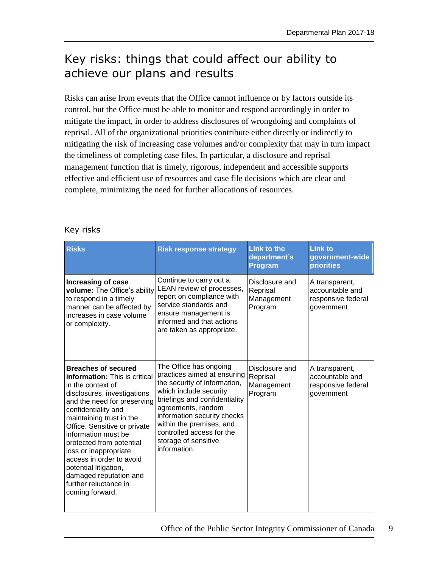# <span id="page-12-0"></span>Key risks: things that could affect our ability to achieve our plans and results

Risks can arise from events that the Office cannot influence or by factors outside its control, but the Office must be able to monitor and respond accordingly in order to mitigate the impact, in order to address disclosures of wrongdoing and complaints of reprisal. All of the organizational priorities contribute either directly or indirectly to mitigating the risk of increasing case volumes and/or complexity that may in turn impact the timeliness of completing case files. In particular, a disclosure and reprisal management function that is timely, rigorous, independent and accessible supports effective and efficient use of resources and case file decisions which are clear and complete, minimizing the need for further allocations of resources.

| <b>Risks</b>                                                                                                                                                                                                                                                                                                                                                                                                                                    | <b>Risk response strategy</b>                                                                                                                                                                                                                                                                          | <b>Link to the</b><br>department's<br><b>Program</b> | <b>Link to</b><br>government-wide<br><b>priorities</b>                |
|-------------------------------------------------------------------------------------------------------------------------------------------------------------------------------------------------------------------------------------------------------------------------------------------------------------------------------------------------------------------------------------------------------------------------------------------------|--------------------------------------------------------------------------------------------------------------------------------------------------------------------------------------------------------------------------------------------------------------------------------------------------------|------------------------------------------------------|-----------------------------------------------------------------------|
| Increasing of case<br>volume: The Office's ability<br>to respond in a timely<br>manner can be affected by<br>increases in case volume<br>or complexity.                                                                                                                                                                                                                                                                                         | Continue to carry out a<br>LEAN review of processes,<br>report on compliance with<br>service standards and<br>ensure management is<br>informed and that actions<br>are taken as appropriate.                                                                                                           | Disclosure and<br>Reprisal<br>Management<br>Program  | A transparent,<br>accountable and<br>responsive federal<br>government |
| <b>Breaches of secured</b><br><b>information:</b> This is critical<br>in the context of<br>disclosures, investigations<br>and the need for preserving<br>confidentiality and<br>maintaining trust in the<br>Office. Sensitive or private<br>information must be<br>protected from potential<br>loss or inappropriate<br>access in order to avoid<br>potential litigation,<br>damaged reputation and<br>further reluctance in<br>coming forward. | The Office has ongoing<br>practices aimed at ensuring<br>the security of information,<br>which include security<br>briefings and confidentiality<br>agreements, random<br>information security checks<br>within the premises, and<br>controlled access for the<br>storage of sensitive<br>information. | Disclosure and<br>Reprisal<br>Management<br>Program  | A transparent,<br>accountable and<br>responsive federal<br>government |

### Key risks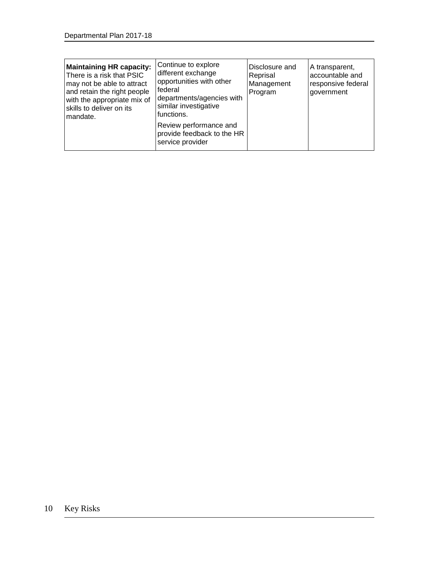| Continue to explore<br><b>Maintaining HR capacity:</b><br>different exchange<br>There is a risk that PSIC<br>opportunities with other<br>may not be able to attract<br>federal<br>and retain the right people<br>departments/agencies with<br>with the appropriate mix of<br>similar investigative<br>skills to deliver on its<br>functions.<br>Imandate.<br>Review performance and<br>provide feedback to the HR<br>service provider | Disclosure and<br>Reprisal<br>Management<br>Program | A transparent,<br>accountable and<br>responsive federal<br>government |
|---------------------------------------------------------------------------------------------------------------------------------------------------------------------------------------------------------------------------------------------------------------------------------------------------------------------------------------------------------------------------------------------------------------------------------------|-----------------------------------------------------|-----------------------------------------------------------------------|
|---------------------------------------------------------------------------------------------------------------------------------------------------------------------------------------------------------------------------------------------------------------------------------------------------------------------------------------------------------------------------------------------------------------------------------------|-----------------------------------------------------|-----------------------------------------------------------------------|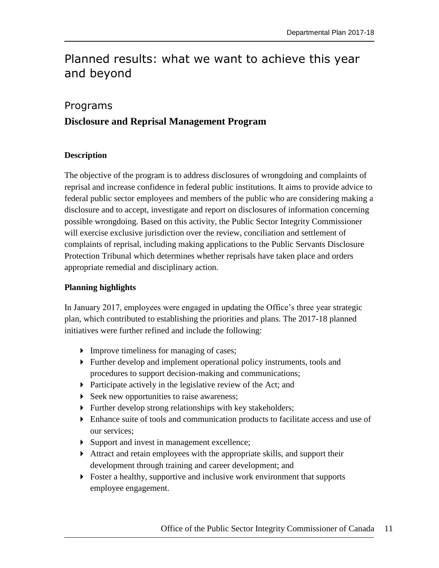# <span id="page-14-0"></span>Planned results: what we want to achieve this year and beyond

## <span id="page-14-1"></span>Programs

# **Disclosure and Reprisal Management Program**

#### **Description**

The objective of the program is to address disclosures of wrongdoing and complaints of reprisal and increase confidence in federal public institutions. It aims to provide advice to federal public sector employees and members of the public who are considering making a disclosure and to accept, investigate and report on disclosures of information concerning possible wrongdoing. Based on this activity, the Public Sector Integrity Commissioner will exercise exclusive jurisdiction over the review, conciliation and settlement of complaints of reprisal, including making applications to the Public Servants Disclosure Protection Tribunal which determines whether reprisals have taken place and orders appropriate remedial and disciplinary action.

### **Planning highlights**

In January 2017, employees were engaged in updating the Office's three year strategic plan, which contributed to establishing the priorities and plans. The 2017-18 planned initiatives were further refined and include the following:

- Improve timeliness for managing of cases;
- Further develop and implement operational policy instruments, tools and procedures to support decision-making and communications;
- Participate actively in the legislative review of the Act; and
- $\triangleright$  Seek new opportunities to raise awareness;
- Further develop strong relationships with key stakeholders;
- Enhance suite of tools and communication products to facilitate access and use of our services;
- Support and invest in management excellence;
- Attract and retain employees with the appropriate skills, and support their development through training and career development; and
- Foster a healthy, supportive and inclusive work environment that supports employee engagement.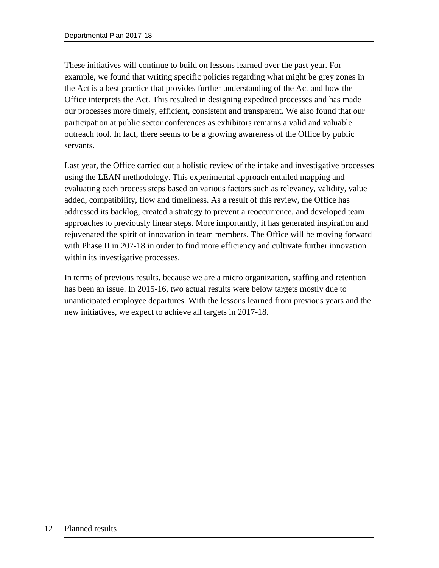These initiatives will continue to build on lessons learned over the past year. For example, we found that writing specific policies regarding what might be grey zones in the Act is a best practice that provides further understanding of the Act and how the Office interprets the Act. This resulted in designing expedited processes and has made our processes more timely, efficient, consistent and transparent. We also found that our participation at public sector conferences as exhibitors remains a valid and valuable outreach tool. In fact, there seems to be a growing awareness of the Office by public servants.

Last year, the Office carried out a holistic review of the intake and investigative processes using the LEAN methodology. This experimental approach entailed mapping and evaluating each process steps based on various factors such as relevancy, validity, value added, compatibility, flow and timeliness. As a result of this review, the Office has addressed its backlog, created a strategy to prevent a reoccurrence, and developed team approaches to previously linear steps. More importantly, it has generated inspiration and rejuvenated the spirit of innovation in team members. The Office will be moving forward with Phase II in 207-18 in order to find more efficiency and cultivate further innovation within its investigative processes.

In terms of previous results, because we are a micro organization, staffing and retention has been an issue. In 2015-16, two actual results were below targets mostly due to unanticipated employee departures. With the lessons learned from previous years and the new initiatives, we expect to achieve all targets in 2017-18.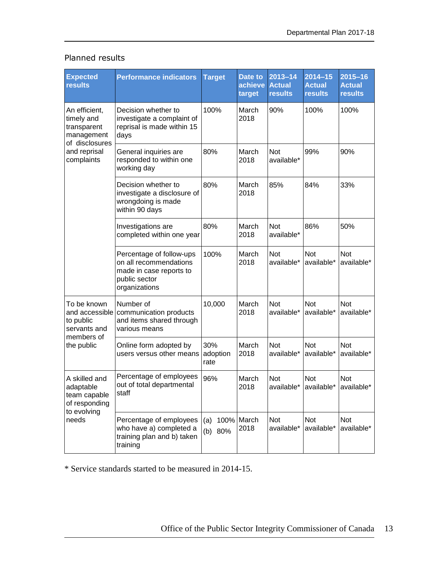| Expected<br>results                                                                    | <b>Performance indicators</b>                                                                                   | <b>Target</b>           | <b>Date to</b><br>achieve<br>target | $2013 - 14$<br><b>Actual</b><br><b>results</b> | $2014 - 15$<br><b>Actual</b><br><b>results</b> | $2015 - 16$<br><b>Actual</b><br><b>results</b> |
|----------------------------------------------------------------------------------------|-----------------------------------------------------------------------------------------------------------------|-------------------------|-------------------------------------|------------------------------------------------|------------------------------------------------|------------------------------------------------|
| An efficient,<br>timely and<br>transparent<br>management                               | Decision whether to<br>investigate a complaint of<br>reprisal is made within 15<br>days                         | 100%                    | March<br>2018                       | 90%                                            | 100%                                           | 100%                                           |
| of disclosures<br>and reprisal<br>complaints                                           | General inquiries are<br>responded to within one<br>working day                                                 | 80%                     | March<br>2018                       | Not<br>available*                              | 99%                                            | 90%                                            |
|                                                                                        | Decision whether to<br>investigate a disclosure of<br>wrongdoing is made<br>within 90 days                      | 80%                     | March<br>2018                       | 85%                                            | 84%                                            | 33%                                            |
|                                                                                        | Investigations are<br>completed within one year                                                                 | 80%                     | March<br>2018                       | Not<br>available*                              | 86%                                            | 50%                                            |
|                                                                                        | Percentage of follow-ups<br>on all recommendations<br>made in case reports to<br>public sector<br>organizations | 100%                    | March<br>2018                       | <b>Not</b><br>available*                       | <b>Not</b><br>available*                       | <b>Not</b><br>available*                       |
| To be known<br>and accessible<br>to public<br>servants and<br>members of<br>the public | Number of<br>communication products<br>and items shared through<br>various means                                | 10,000                  | March<br>2018                       | Not<br>available*                              | <b>Not</b><br>available*                       | <b>Not</b><br>available*                       |
|                                                                                        | Online form adopted by<br>users versus other means                                                              | 30%<br>adoption<br>rate | March<br>2018                       | <b>Not</b><br>available*                       | Not<br>available*                              | Not<br>available*                              |
| A skilled and<br>adaptable<br>team capable<br>of responding<br>to evolving<br>needs    | Percentage of employees<br>out of total departmental<br>staff                                                   | 96%                     | March<br>2018                       | Not<br>available*                              | Not<br>available*                              | Not<br>available*                              |
|                                                                                        | Percentage of employees<br>who have a) completed a<br>training plan and b) taken<br>training                    | (a)<br>80%<br>(b)       | 100% March<br>2018                  | Not<br>available*                              | Not<br>available*                              | Not<br>available*                              |

# Planned results

\* Service standards started to be measured in 2014-15.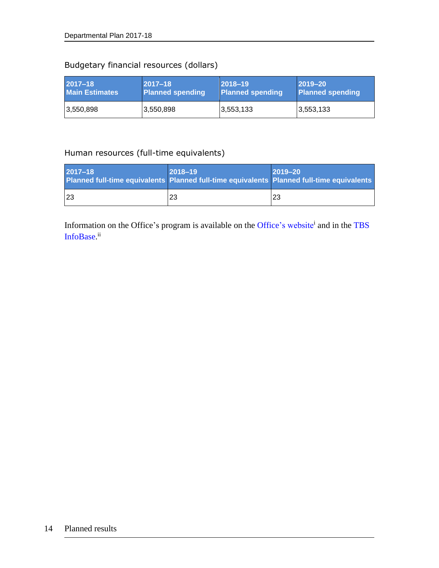# Budgetary financial resources (dollars)

| 2017-18               | $ 2017 - 18 $    | $ 2018 - 19 $           | $ 2019 - 20 $           |
|-----------------------|------------------|-------------------------|-------------------------|
| <b>Main Estimates</b> | Planned spending | <b>Planned spending</b> | <b>Planned spending</b> |
| 3,550,898             | 3,550,898        | 3,553,133               | 3,553,133               |

## Human resources (full-time equivalents)

| $2017 - 18$<br>Planned full-time equivalents Planned full-time equivalents Planned full-time equivalents | $ 2018 - 19 $ | $2019 - 20$ |
|----------------------------------------------------------------------------------------------------------|---------------|-------------|
| 23                                                                                                       | 23            | 23          |

Information on the Office's program is available on the [Office's website](http://www.psic-ispc.gc.ca/)<sup>i</sup> and in the TBS [InfoBase.](https://www.tbs-sct.gc.ca/ems-sgd/edb-bdd/index-eng.html)<sup>ii</sup>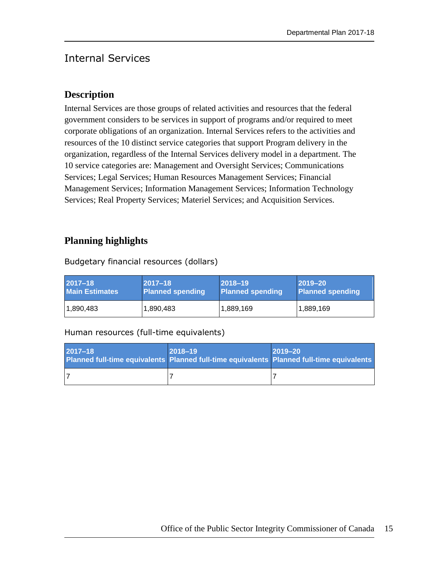# <span id="page-18-0"></span>Internal Services

# **Description**

Internal Services are those groups of related activities and resources that the federal government considers to be services in support of programs and/or required to meet corporate obligations of an organization. Internal Services refers to the activities and resources of the 10 distinct service categories that support Program delivery in the organization, regardless of the Internal Services delivery model in a department. The 10 service categories are: Management and Oversight Services; Communications Services; Legal Services; Human Resources Management Services; Financial Management Services; Information Management Services; Information Technology Services; Real Property Services; Materiel Services; and Acquisition Services.

# **Planning highlights**

Budgetary financial resources (dollars)

| l 2017–18             | $ 2017 - 18 $           | $ 2018 - 19 $           | $ 2019 - 20 $    |
|-----------------------|-------------------------|-------------------------|------------------|
| <b>Main Estimates</b> | <b>Planned spending</b> | <b>Planned spending</b> | Planned spending |
| 1,890,483             | 1,890,483               | 1,889,169               | 1,889,169        |

## Human resources (full-time equivalents)

| 2017-18<br>Planned full-time equivalents Planned full-time equivalents Planned full-time equivalents | $2018 - 19$ | $2019 - 20$ |
|------------------------------------------------------------------------------------------------------|-------------|-------------|
|                                                                                                      |             |             |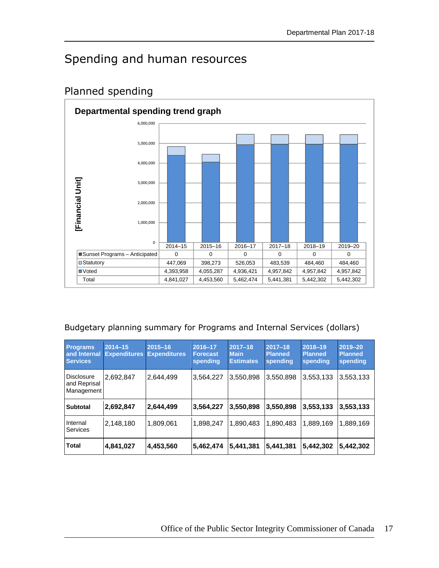# <span id="page-20-0"></span>Spending and human resources



# <span id="page-20-1"></span>Planned spending

## Budgetary planning summary for Programs and Internal Services (dollars)

| <b>Programs</b><br>and Internal<br><b>Services</b> | $2014 - 15$<br><b>Expenditures</b> | $2015 - 16$<br><b>Expenditures</b> | 2016-17<br><b>Forecast</b><br>spending | $2017 - 18$<br><b>Main</b><br><b>Estimates</b> | $2017 - 18$<br><b>Planned</b><br>spending | 2018-19<br><b>Planned</b><br>spending | 2019-20<br><b>Planned</b><br>spending |
|----------------------------------------------------|------------------------------------|------------------------------------|----------------------------------------|------------------------------------------------|-------------------------------------------|---------------------------------------|---------------------------------------|
| <b>Disclosure</b><br>and Reprisal<br>Management    | 2,692,847                          | 2,644,499                          | 3,564,227                              | 3,550,898                                      | 3,550,898                                 | 3,553,133                             | 3,553,133                             |
| <b>Subtotal</b>                                    | 2,692,847                          | 2,644,499                          | 3,564,227                              | 3,550,898                                      | 3,550,898                                 | 3,553,133                             | 3,553,133                             |
| Internal<br>Services                               | 2,148,180                          | 1,809,061                          | 1,898,247                              | 1.890.483                                      | 1.890.483                                 | 1,889,169                             | 1,889,169                             |
| Total                                              | 4,841,027                          | 4,453,560                          | 5,462,474                              | 5.441.381                                      | 5,441,381                                 | 5,442,302                             | 5,442,302                             |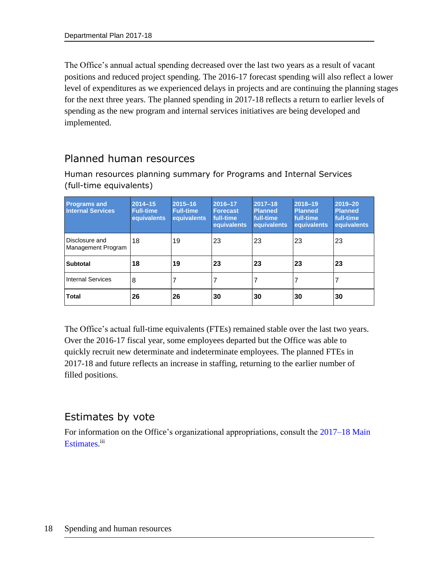The Office's annual actual spending decreased over the last two years as a result of vacant positions and reduced project spending. The 2016-17 forecast spending will also reflect a lower level of expenditures as we experienced delays in projects and are continuing the planning stages for the next three years. The planned spending in 2017-18 reflects a return to earlier levels of spending as the new program and internal services initiatives are being developed and implemented.

# <span id="page-21-0"></span>Planned human resources

Human resources planning summary for Programs and Internal Services (full-time equivalents)

| <b>Programs and</b><br><b>Internal Services</b> | $2014 - 15$<br><b>Full-time</b><br>equivalents | $2015 - 16$<br><b>Full-time</b><br>equivalents | 2016-17<br><b>Forecast</b><br>full-time<br>equivalents | $2017 - 18$<br><b>Planned</b><br>full-time<br>equivalents | 2018-19<br><b>Planned</b><br>full-time<br>equivalents | 2019-20<br><b>Planned</b><br>full-time<br>equivalents |
|-------------------------------------------------|------------------------------------------------|------------------------------------------------|--------------------------------------------------------|-----------------------------------------------------------|-------------------------------------------------------|-------------------------------------------------------|
| Disclosure and<br>Management Program            | 18                                             | 19                                             | 23                                                     | 23                                                        | 23                                                    | <b>23</b>                                             |
| <b>Subtotal</b>                                 | 18                                             | 19                                             | 23                                                     | 23                                                        | 23                                                    | 23                                                    |
| <b>Internal Services</b>                        | 8                                              |                                                |                                                        |                                                           |                                                       |                                                       |
| Total                                           | 26                                             | 26                                             | 30                                                     | 30                                                        | 30                                                    | 30                                                    |

The Office's actual full-time equivalents (FTEs) remained stable over the last two years. Over the 2016-17 fiscal year, some employees departed but the Office was able to quickly recruit new determinate and indeterminate employees. The planned FTEs in 2017-18 and future reflects an increase in staffing, returning to the earlier number of filled positions.

# <span id="page-21-1"></span>Estimates by vote

For information on the Office's organizational appropriations, consult the [2017–18 Main](http://www.tbs-sct.gc.ca/hgw-cgf/finances/pgs-pdg/gepme-pdgbpd/index-eng.asp)  [Estimates](http://www.tbs-sct.gc.ca/hgw-cgf/finances/pgs-pdg/gepme-pdgbpd/index-eng.asp)[.](http://www.tpsgc-pwgsc.gc.ca/recgen/cpc-pac/index-eng.html)<sup>iii</sup>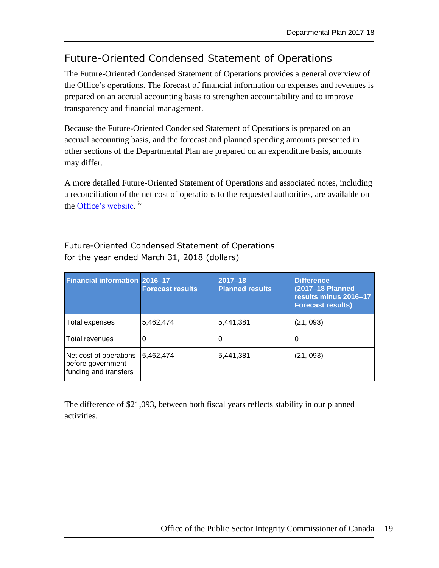# <span id="page-22-0"></span>Future-Oriented Condensed Statement of Operations

The Future-Oriented Condensed Statement of Operations provides a general overview of the Office's operations. The forecast of financial information on expenses and revenues is prepared on an accrual accounting basis to strengthen accountability and to improve transparency and financial management.

Because the Future-Oriented Condensed Statement of Operations is prepared on an accrual accounting basis, and the forecast and planned spending amounts presented in other sections of the Departmental Plan are prepared on an expenditure basis, amounts may differ.

A more detailed Future-Oriented Statement of Operations and associated notes, including a reconciliation of the net cost of operations to the requested authorities, are available on the [Office's website.](http://www.psic-ispc.gc.ca/)<sup>iv</sup>

| <b>Financial information 2016-17</b>                                 | <b>Forecast results</b> | 2017-18<br><b>Planned results</b> | <b>Difference</b><br>(2017-18 Planned<br>results minus 2016-17<br><b>Forecast results)</b> |
|----------------------------------------------------------------------|-------------------------|-----------------------------------|--------------------------------------------------------------------------------------------|
| Total expenses                                                       | 5,462,474               | 5,441,381                         | (21, 093)                                                                                  |
| Total revenues                                                       | O                       |                                   | U                                                                                          |
| Net cost of operations<br>before government<br>funding and transfers | 5,462,474               | 5,441,381                         | (21, 093)                                                                                  |

Future-Oriented Condensed Statement of Operations for the year ended March 31, 2018 (dollars)

The difference of \$21,093, between both fiscal years reflects stability in our planned activities.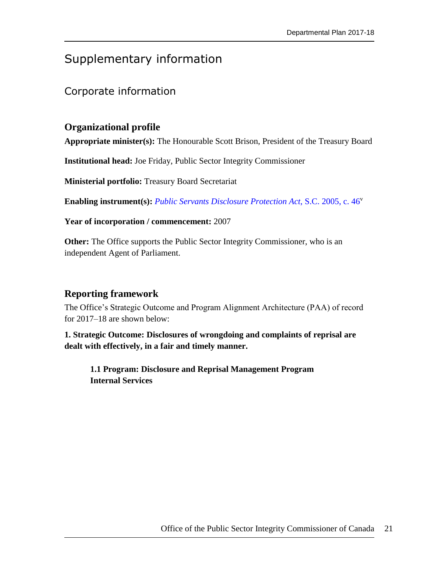# <span id="page-24-0"></span>Supplementary information

# <span id="page-24-1"></span>Corporate information

# **Organizational profile**

**Appropriate minister(s):** The Honourable Scott Brison, President of the Treasury Board

**Institutional head:** Joe Friday, Public Sector Integrity Commissioner

**Ministerial portfolio:** Treasury Board Secretariat

**Enabling instrument(s):** *[Public Servants Disclosure Protection Act](http://laws-lois.justice.gc.ca/eng/acts/P-31.9/)*, S.C. 2005, c. 46<sup>v</sup>

**Year of incorporation / commencement:** 2007

**Other:** The Office supports the Public Sector Integrity Commissioner, who is an independent Agent of Parliament.

#### **Reporting framework**

The Office's Strategic Outcome and Program Alignment Architecture (PAA) of record for 2017–18 are shown below:

**1. Strategic Outcome: Disclosures of wrongdoing and complaints of reprisal are dealt with effectively, in a fair and timely manner.**

**1.1 Program: Disclosure and Reprisal Management Program Internal Services**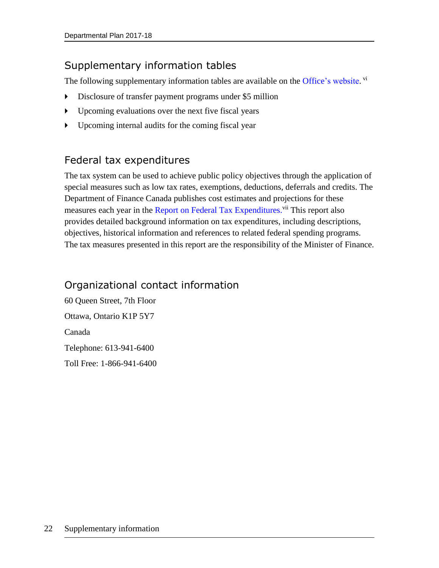# <span id="page-25-0"></span>Supplementary information tables

The following supplementary information tables are available on the [Office's website.](http://www.psic-ispc.gc.ca/) vi

- Disclosure of transfer payment programs under \$5 million
- Upcoming evaluations over the next five fiscal years
- Upcoming internal audits for the coming fiscal year

# <span id="page-25-1"></span>Federal tax expenditures

The tax system can be used to achieve public policy objectives through the application of special measures such as low tax rates, exemptions, deductions, deferrals and credits. The Department of Finance Canada publishes cost estimates and projections for these measures each year in the Report on [Federal Tax Expenditures.](http://www.fin.gc.ca/purl/taxexp-eng.asp)<sup>vii</sup> This report also provides detailed background information on tax expenditures, including descriptions, objectives, historical information and references to related federal spending programs. The tax measures presented in this report are the responsibility of the Minister of Finance.

# <span id="page-25-2"></span>Organizational contact information

60 Queen Street, 7th Floor Ottawa, Ontario K1P 5Y7 Canada Telephone: 613-941-6400 Toll Free: 1-866-941-6400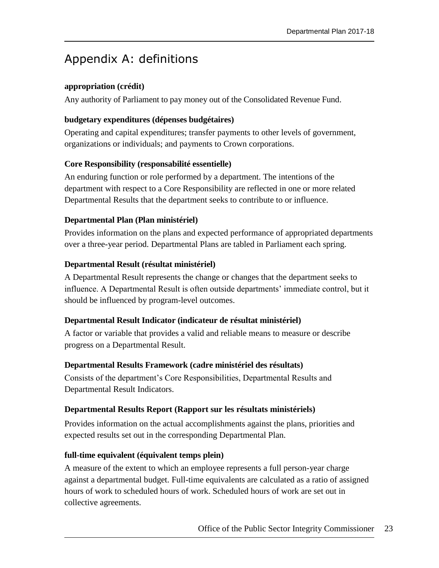# <span id="page-26-0"></span>Appendix A: definitions

### **appropriation (crédit)**

Any authority of Parliament to pay money out of the Consolidated Revenue Fund.

### **budgetary expenditures (dépenses budgétaires)**

Operating and capital expenditures; transfer payments to other levels of government, organizations or individuals; and payments to Crown corporations.

### **Core Responsibility (responsabilité essentielle)**

An enduring function or role performed by a department. The intentions of the department with respect to a Core Responsibility are reflected in one or more related Departmental Results that the department seeks to contribute to or influence.

### **Departmental Plan (Plan ministériel)**

Provides information on the plans and expected performance of appropriated departments over a three-year period. Departmental Plans are tabled in Parliament each spring.

### **Departmental Result (résultat ministériel)**

A Departmental Result represents the change or changes that the department seeks to influence. A Departmental Result is often outside departments' immediate control, but it should be influenced by program-level outcomes.

#### **Departmental Result Indicator (indicateur de résultat ministériel)**

A factor or variable that provides a valid and reliable means to measure or describe progress on a Departmental Result.

#### **Departmental Results Framework (cadre ministériel des résultats)**

Consists of the department's Core Responsibilities, Departmental Results and Departmental Result Indicators.

#### **Departmental Results Report (Rapport sur les résultats ministériels)**

Provides information on the actual accomplishments against the plans, priorities and expected results set out in the corresponding Departmental Plan.

#### **full-time equivalent (équivalent temps plein)**

A measure of the extent to which an employee represents a full person-year charge against a departmental budget. Full-time equivalents are calculated as a ratio of assigned hours of work to scheduled hours of work. Scheduled hours of work are set out in collective agreements.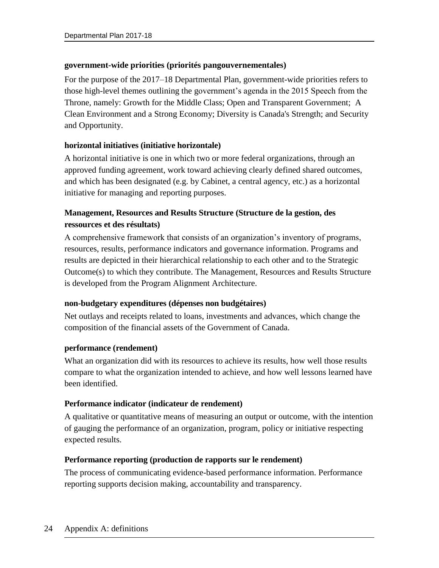## **government-wide priorities (priorités pangouvernementales)**

For the purpose of the 2017–18 Departmental Plan, government-wide priorities refers to those high-level themes outlining the government's agenda in the 2015 Speech from the Throne, namely: Growth for the Middle Class; Open and Transparent Government; A Clean Environment and a Strong Economy; Diversity is Canada's Strength; and Security and Opportunity.

## **horizontal initiatives (initiative horizontale)**

A horizontal initiative is one in which two or more federal organizations, through an approved funding agreement, work toward achieving clearly defined shared outcomes, and which has been designated (e.g. by Cabinet, a central agency, etc.) as a horizontal initiative for managing and reporting purposes.

# **Management, Resources and Results Structure (Structure de la gestion, des ressources et des résultats)**

A comprehensive framework that consists of an organization's inventory of programs, resources, results, performance indicators and governance information. Programs and results are depicted in their hierarchical relationship to each other and to the Strategic Outcome(s) to which they contribute. The Management, Resources and Results Structure is developed from the Program Alignment Architecture.

## **non-budgetary expenditures (dépenses non budgétaires)**

Net outlays and receipts related to loans, investments and advances, which change the composition of the financial assets of the Government of Canada.

## **performance (rendement)**

What an organization did with its resources to achieve its results, how well those results compare to what the organization intended to achieve, and how well lessons learned have been identified.

## **Performance indicator (indicateur de rendement)**

A qualitative or quantitative means of measuring an output or outcome, with the intention of gauging the performance of an organization, program, policy or initiative respecting expected results.

## **Performance reporting (production de rapports sur le rendement)**

The process of communicating evidence-based performance information. Performance reporting supports decision making, accountability and transparency.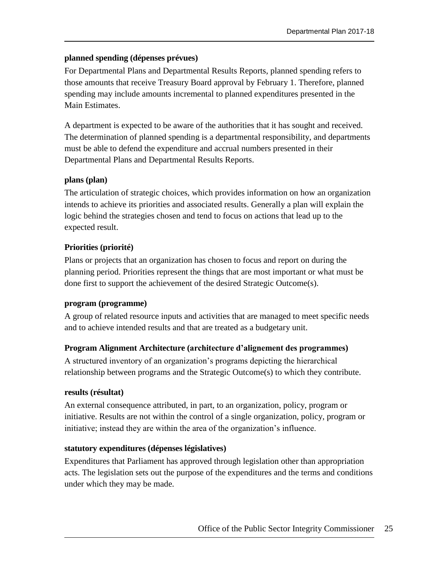## **planned spending (dépenses prévues)**

For Departmental Plans and Departmental Results Reports, planned spending refers to those amounts that receive Treasury Board approval by February 1. Therefore, planned spending may include amounts incremental to planned expenditures presented in the Main Estimates.

A department is expected to be aware of the authorities that it has sought and received. The determination of planned spending is a departmental responsibility, and departments must be able to defend the expenditure and accrual numbers presented in their Departmental Plans and Departmental Results Reports.

## **plans (plan)**

The articulation of strategic choices, which provides information on how an organization intends to achieve its priorities and associated results. Generally a plan will explain the logic behind the strategies chosen and tend to focus on actions that lead up to the expected result.

## **Priorities (priorité)**

Plans or projects that an organization has chosen to focus and report on during the planning period. Priorities represent the things that are most important or what must be done first to support the achievement of the desired Strategic Outcome(s).

## **program (programme)**

A group of related resource inputs and activities that are managed to meet specific needs and to achieve intended results and that are treated as a budgetary unit.

## **Program Alignment Architecture (architecture d'alignement des programmes)**

A structured inventory of an organization's programs depicting the hierarchical relationship between programs and the Strategic Outcome(s) to which they contribute.

## **results (résultat)**

An external consequence attributed, in part, to an organization, policy, program or initiative. Results are not within the control of a single organization, policy, program or initiative; instead they are within the area of the organization's influence.

## **statutory expenditures (dépenses législatives)**

Expenditures that Parliament has approved through legislation other than appropriation acts. The legislation sets out the purpose of the expenditures and the terms and conditions under which they may be made.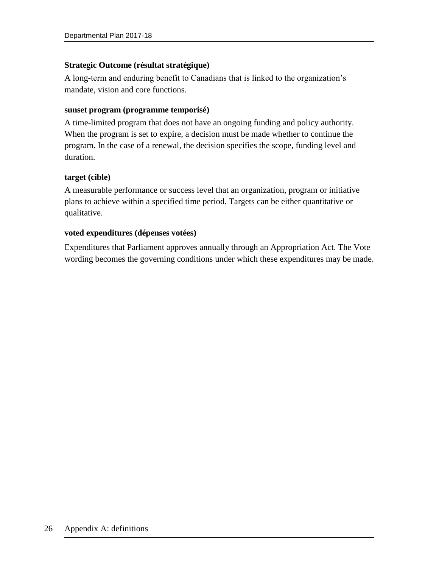## **Strategic Outcome (résultat stratégique)**

A long-term and enduring benefit to Canadians that is linked to the organization's mandate, vision and core functions.

### **sunset program (programme temporisé)**

A time-limited program that does not have an ongoing funding and policy authority. When the program is set to expire, a decision must be made whether to continue the program. In the case of a renewal, the decision specifies the scope, funding level and duration.

### **target (cible)**

A measurable performance or success level that an organization, program or initiative plans to achieve within a specified time period. Targets can be either quantitative or qualitative.

### **voted expenditures (dépenses votées)**

Expenditures that Parliament approves annually through an Appropriation Act. The Vote wording becomes the governing conditions under which these expenditures may be made.